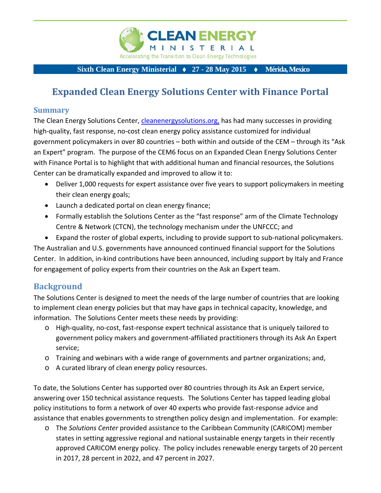

#### **Sixth Clean Energy Ministerial ♦ 27 - 28 May 2015 ♦ Mérida, Mexico**

# **Expanded Clean Energy Solutions Center with Finance Portal**

#### **Summary**

The Clean Energy Solutions Center, cleanenergysolutions.org, has had many successes in providing high-quality, fast response, no-cost clean energy policy assistance customized for individual government policymakers in over 80 countries – both within and outside of the CEM – through its "Ask an Expert" program. The purpose of the CEM6 focus on an Expanded Clean Energy Solutions Center with Finance Portal is to highlight that with additional human and financial resources, the Solutions Center can be dramatically expanded and improved to allow it to:

- Deliver 1,000 requests for expert assistance over five years to support policymakers in meeting their clean energy goals;
- Launch a dedicated portal on clean energy finance;
- Formally establish the Solutions Center as the "fast response" arm of the Climate Technology Centre & Network (CTCN), the technology mechanism under the UNFCCC; and
- Expand the roster of global experts, including to provide support to sub-national policymakers.

The Australian and U.S. governments have announced continued financial support for the Solutions Center. In addition, in‐kind contributions have been announced, including support by Italy and France for engagement of policy experts from their countries on the Ask an Expert team.

### **Background**

The Solutions Center is designed to meet the needs of the large number of countries that are looking to implement clean energy policies but that may have gaps in technical capacity, knowledge, and information. The Solutions Center meets these needs by providing:

- o High‐quality, no‐cost, fast‐response expert technical assistance that is uniquely tailored to government policy makers and government‐affiliated practitioners through its Ask An Expert service;
- o Training and webinars with a wide range of governments and partner organizations; and,
- o A curated library of clean energy policy resources.

To date, the Solutions Center has supported over 80 countries through its Ask an Expert service, answering over 150 technical assistance requests. The Solutions Center has tapped leading global policy institutions to form a network of over 40 experts who provide fast‐response advice and assistance that enables governments to strengthen policy design and implementation. For example:

o The *Solutions Center* provided assistance to the Caribbean Community (CARICOM) member states in setting aggressive regional and national sustainable energy targets in their recently approved CARICOM energy policy. The policy includes renewable energy targets of 20 percent in 2017, 28 percent in 2022, and 47 percent in 2027.